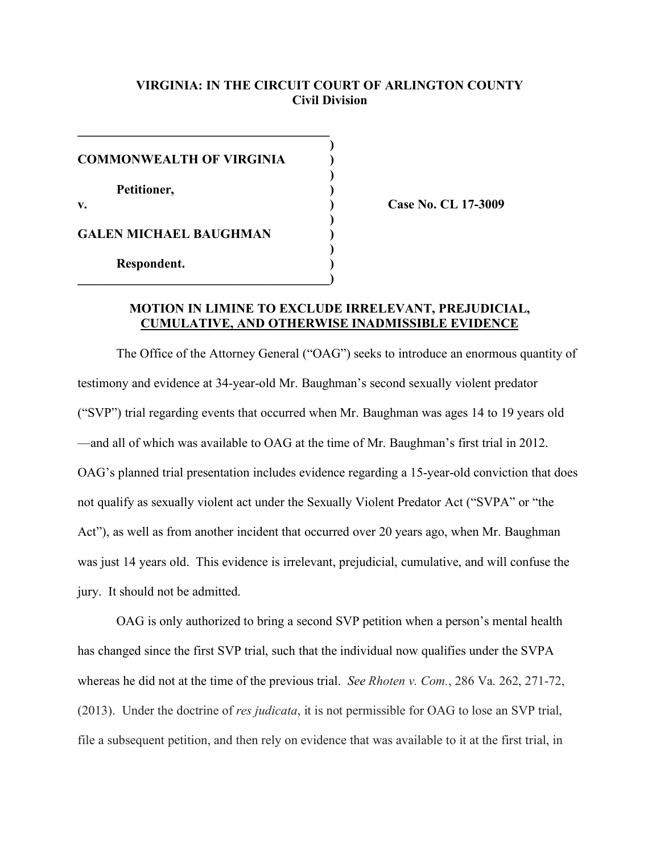# **VIRGINIA: IN THE CIRCUIT COURT OF ARLINGTON COUNTY Civil Division**

**)**

| <b>COMMONWEALTH OF VIRGINIA</b> |  |
|---------------------------------|--|
| Petitioner,                     |  |
| $V_{\bullet}$                   |  |
| <b>GALEN MICHAEL BAUGHMAN</b>   |  |
| Respondent.                     |  |
|                                 |  |

 $\mathcal{L}=\{1,2,3,4,5\}$ 

**v. ) Case No. CL 17-3009**

### **MOTION IN LIMINE TO EXCLUDE IRRELEVANT, PREJUDICIAL, CUMULATIVE, AND OTHERWISE INADMISSIBLE EVIDENCE**

The Office of the Attorney General ("OAG") seeks to introduce an enormous quantity of testimony and evidence at 34-year-old Mr. Baughman's second sexually violent predator ("SVP") trial regarding events that occurred when Mr. Baughman was ages 14 to 19 years old —and all of which was available to OAG at the time of Mr. Baughman's first trial in 2012. OAG's planned trial presentation includes evidence regarding a 15-year-old conviction that does not qualify as sexually violent act under the Sexually Violent Predator Act ("SVPA" or "the Act"), as well as from another incident that occurred over 20 years ago, when Mr. Baughman was just 14 years old. This evidence is irrelevant, prejudicial, cumulative, and will confuse the jury. It should not be admitted.

OAG is only authorized to bring a second SVP petition when a person's mental health has changed since the first SVP trial, such that the individual now qualifies under the SVPA whereas he did not at the time of the previous trial. *See Rhoten v. Com.*, 286 Va. 262, 271-72, (2013). Under the doctrine of *res judicata*, it is not permissible for OAG to lose an SVP trial, file a subsequent petition, and then rely on evidence that was available to it at the first trial, in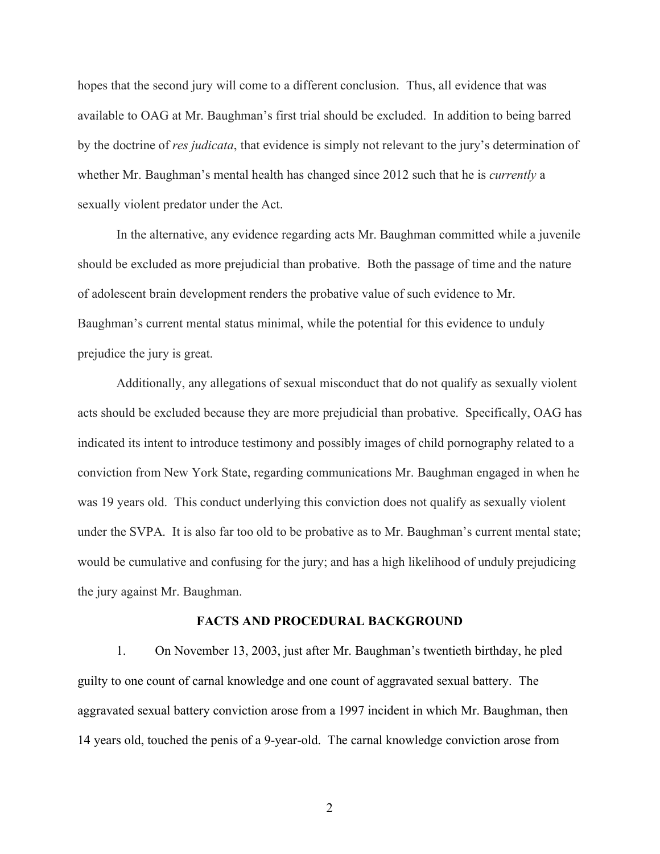hopes that the second jury will come to a different conclusion. Thus, all evidence that was available to OAG at Mr. Baughman's first trial should be excluded. In addition to being barred by the doctrine of *res judicata*, that evidence is simply not relevant to the jury's determination of whether Mr. Baughman's mental health has changed since 2012 such that he is *currently* a sexually violent predator under the Act.

In the alternative, any evidence regarding acts Mr. Baughman committed while a juvenile should be excluded as more prejudicial than probative. Both the passage of time and the nature of adolescent brain development renders the probative value of such evidence to Mr. Baughman's current mental status minimal, while the potential for this evidence to unduly prejudice the jury is great.

Additionally, any allegations of sexual misconduct that do not qualify as sexually violent acts should be excluded because they are more prejudicial than probative. Specifically, OAG has indicated its intent to introduce testimony and possibly images of child pornography related to a conviction from New York State, regarding communications Mr. Baughman engaged in when he was 19 years old. This conduct underlying this conviction does not qualify as sexually violent under the SVPA. It is also far too old to be probative as to Mr. Baughman's current mental state; would be cumulative and confusing for the jury; and has a high likelihood of unduly prejudicing the jury against Mr. Baughman.

#### **FACTS AND PROCEDURAL BACKGROUND**

1. On November 13, 2003, just after Mr. Baughman's twentieth birthday, he pled guilty to one count of carnal knowledge and one count of aggravated sexual battery. The aggravated sexual battery conviction arose from a 1997 incident in which Mr. Baughman, then 14 years old, touched the penis of a 9-year-old. The carnal knowledge conviction arose from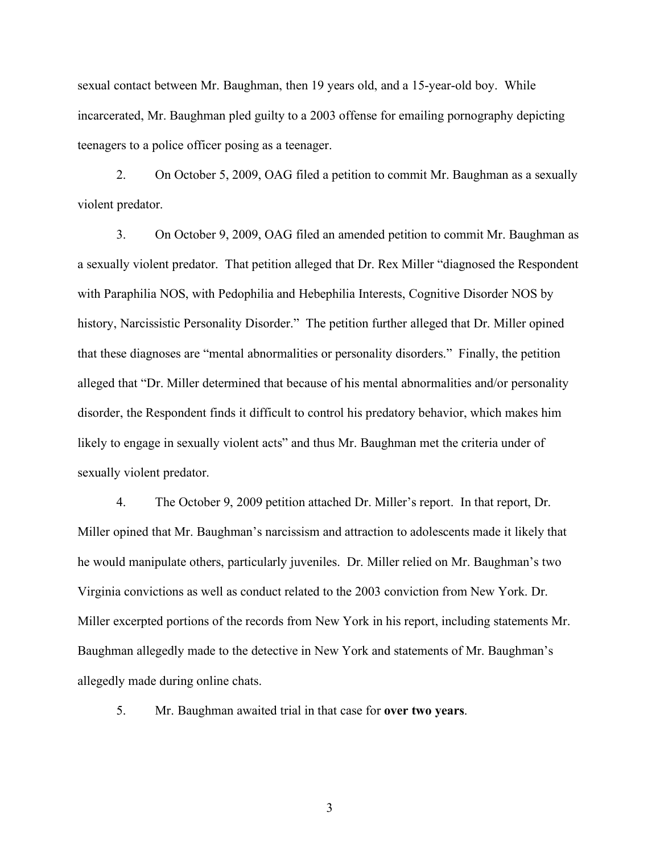sexual contact between Mr. Baughman, then 19 years old, and a 15-year-old boy. While incarcerated, Mr. Baughman pled guilty to a 2003 offense for emailing pornography depicting teenagers to a police officer posing as a teenager.

2. On October 5, 2009, OAG filed a petition to commit Mr. Baughman as a sexually violent predator.

3. On October 9, 2009, OAG filed an amended petition to commit Mr. Baughman as a sexually violent predator. That petition alleged that Dr. Rex Miller "diagnosed the Respondent with Paraphilia NOS, with Pedophilia and Hebephilia Interests, Cognitive Disorder NOS by history, Narcissistic Personality Disorder." The petition further alleged that Dr. Miller opined that these diagnoses are "mental abnormalities or personality disorders." Finally, the petition alleged that "Dr. Miller determined that because of his mental abnormalities and/or personality disorder, the Respondent finds it difficult to control his predatory behavior, which makes him likely to engage in sexually violent acts" and thus Mr. Baughman met the criteria under of sexually violent predator.

4. The October 9, 2009 petition attached Dr. Miller's report. In that report, Dr. Miller opined that Mr. Baughman's narcissism and attraction to adolescents made it likely that he would manipulate others, particularly juveniles. Dr. Miller relied on Mr. Baughman's two Virginia convictions as well as conduct related to the 2003 conviction from New York. Dr. Miller excerpted portions of the records from New York in his report, including statements Mr. Baughman allegedly made to the detective in New York and statements of Mr. Baughman's allegedly made during online chats.

5. Mr. Baughman awaited trial in that case for **over two years**.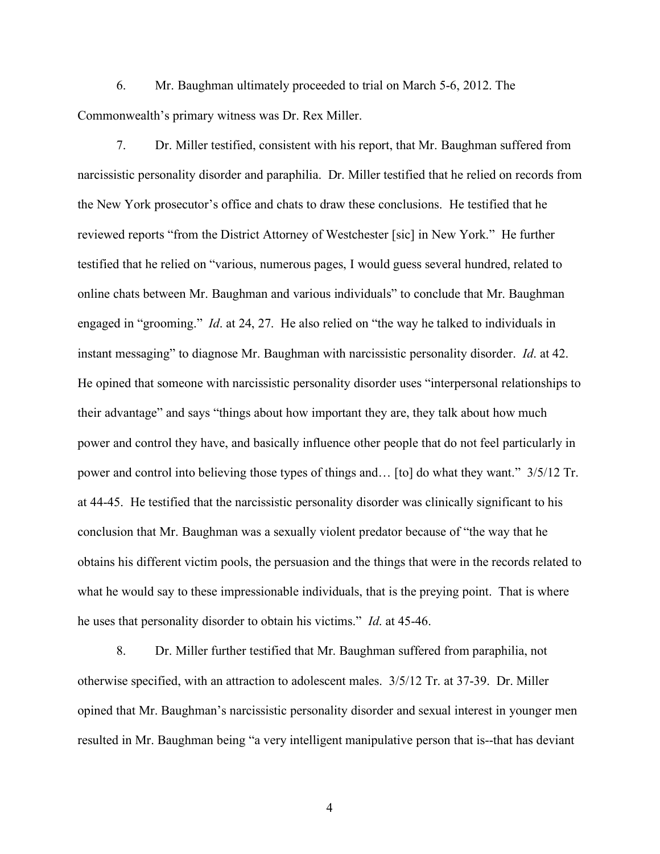6. Mr. Baughman ultimately proceeded to trial on March 5-6, 2012. The Commonwealth's primary witness was Dr. Rex Miller.

7. Dr. Miller testified, consistent with his report, that Mr. Baughman suffered from narcissistic personality disorder and paraphilia. Dr. Miller testified that he relied on records from the New York prosecutor's office and chats to draw these conclusions. He testified that he reviewed reports "from the District Attorney of Westchester [sic] in New York." He further testified that he relied on "various, numerous pages, I would guess several hundred, related to online chats between Mr. Baughman and various individuals" to conclude that Mr. Baughman engaged in "grooming." *Id*. at 24, 27. He also relied on "the way he talked to individuals in instant messaging" to diagnose Mr. Baughman with narcissistic personality disorder. *Id*. at 42. He opined that someone with narcissistic personality disorder uses "interpersonal relationships to their advantage" and says "things about how important they are, they talk about how much power and control they have, and basically influence other people that do not feel particularly in power and control into believing those types of things and… [to] do what they want." 3/5/12 Tr. at 44-45. He testified that the narcissistic personality disorder was clinically significant to his conclusion that Mr. Baughman was a sexually violent predator because of "the way that he obtains his different victim pools, the persuasion and the things that were in the records related to what he would say to these impressionable individuals, that is the preying point. That is where he uses that personality disorder to obtain his victims." *Id*. at 45-46.

8. Dr. Miller further testified that Mr. Baughman suffered from paraphilia, not otherwise specified, with an attraction to adolescent males. 3/5/12 Tr. at 37-39. Dr. Miller opined that Mr. Baughman's narcissistic personality disorder and sexual interest in younger men resulted in Mr. Baughman being "a very intelligent manipulative person that is--that has deviant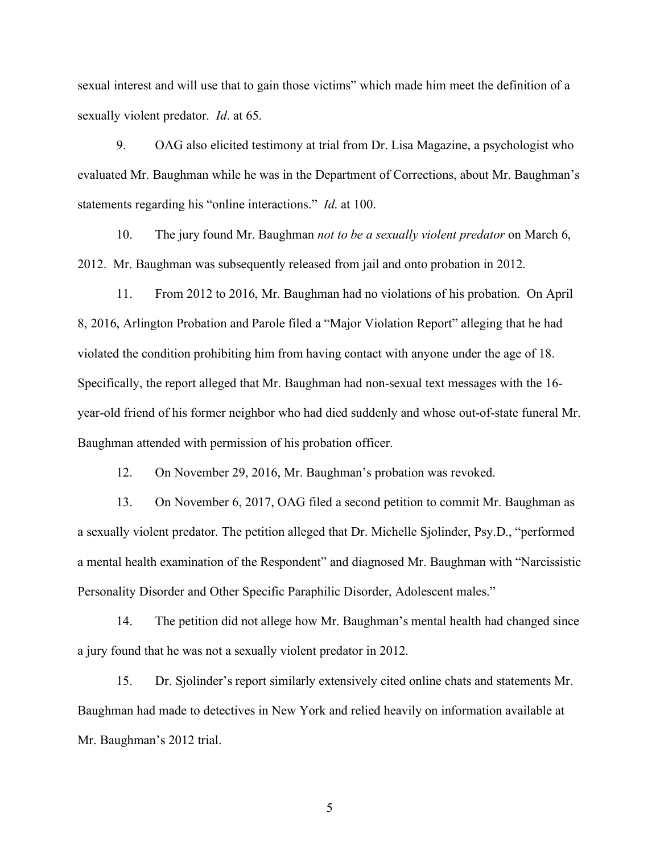sexual interest and will use that to gain those victims" which made him meet the definition of a sexually violent predator. *Id*. at 65.

9. OAG also elicited testimony at trial from Dr. Lisa Magazine, a psychologist who evaluated Mr. Baughman while he was in the Department of Corrections, about Mr. Baughman's statements regarding his "online interactions." *Id*. at 100.

10. The jury found Mr. Baughman *not to be a sexually violent predator* on March 6, 2012. Mr. Baughman was subsequently released from jail and onto probation in 2012.

11. From 2012 to 2016, Mr. Baughman had no violations of his probation. On April 8, 2016, Arlington Probation and Parole filed a "Major Violation Report" alleging that he had violated the condition prohibiting him from having contact with anyone under the age of 18. Specifically, the report alleged that Mr. Baughman had non-sexual text messages with the 16 year-old friend of his former neighbor who had died suddenly and whose out-of-state funeral Mr. Baughman attended with permission of his probation officer.

12. On November 29, 2016, Mr. Baughman's probation was revoked.

13. On November 6, 2017, OAG filed a second petition to commit Mr. Baughman as a sexually violent predator. The petition alleged that Dr. Michelle Sjolinder, Psy.D., "performed a mental health examination of the Respondent" and diagnosed Mr. Baughman with "Narcissistic Personality Disorder and Other Specific Paraphilic Disorder, Adolescent males."

14. The petition did not allege how Mr. Baughman's mental health had changed since a jury found that he was not a sexually violent predator in 2012.

15. Dr. Sjolinder's report similarly extensively cited online chats and statements Mr. Baughman had made to detectives in New York and relied heavily on information available at Mr. Baughman's 2012 trial.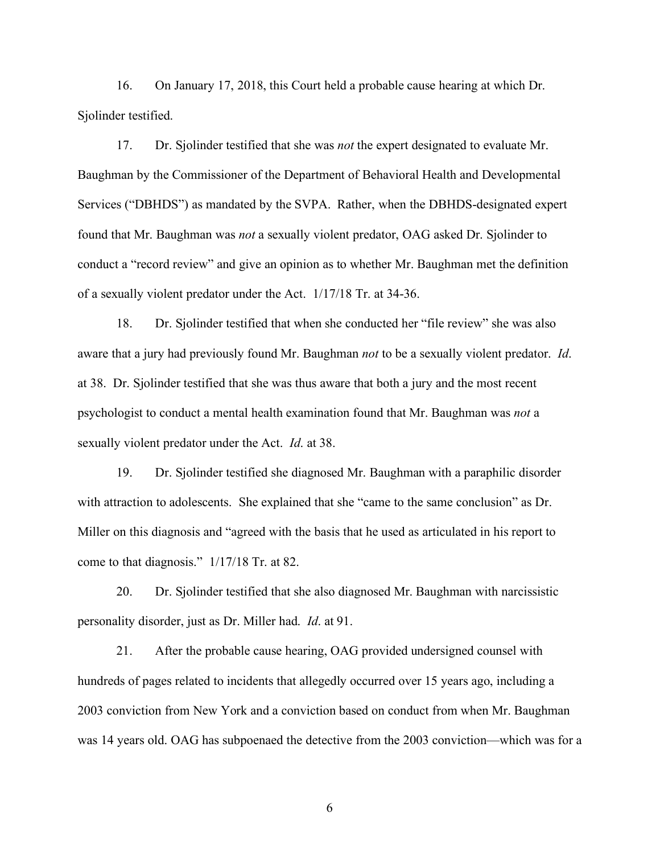16. On January 17, 2018, this Court held a probable cause hearing at which Dr. Sjolinder testified.

17. Dr. Sjolinder testified that she was *not* the expert designated to evaluate Mr. Baughman by the Commissioner of the Department of Behavioral Health and Developmental Services ("DBHDS") as mandated by the SVPA. Rather, when the DBHDS-designated expert found that Mr. Baughman was *not* a sexually violent predator, OAG asked Dr. Sjolinder to conduct a "record review" and give an opinion as to whether Mr. Baughman met the definition of a sexually violent predator under the Act. 1/17/18 Tr. at 34-36.

18. Dr. Sjolinder testified that when she conducted her "file review" she was also aware that a jury had previously found Mr. Baughman *not* to be a sexually violent predator. *Id*. at 38. Dr. Sjolinder testified that she was thus aware that both a jury and the most recent psychologist to conduct a mental health examination found that Mr. Baughman was *not* a sexually violent predator under the Act. *Id*. at 38.

19. Dr. Sjolinder testified she diagnosed Mr. Baughman with a paraphilic disorder with attraction to adolescents. She explained that she "came to the same conclusion" as Dr. Miller on this diagnosis and "agreed with the basis that he used as articulated in his report to come to that diagnosis." 1/17/18 Tr. at 82.

20. Dr. Sjolinder testified that she also diagnosed Mr. Baughman with narcissistic personality disorder, just as Dr. Miller had. *Id*. at 91.

21. After the probable cause hearing, OAG provided undersigned counsel with hundreds of pages related to incidents that allegedly occurred over 15 years ago, including a 2003 conviction from New York and a conviction based on conduct from when Mr. Baughman was 14 years old. OAG has subpoenaed the detective from the 2003 conviction—which was for a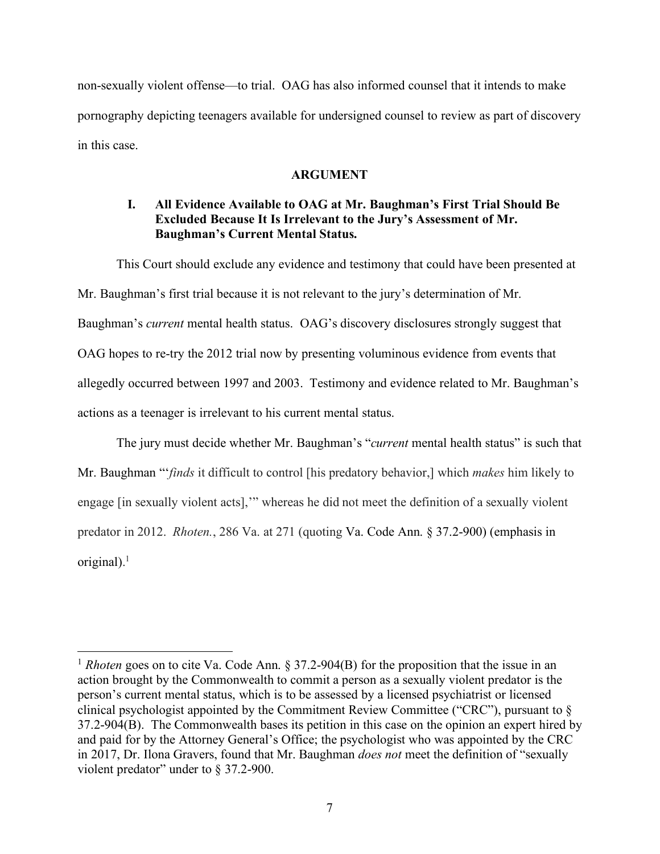non-sexually violent offense—to trial. OAG has also informed counsel that it intends to make pornography depicting teenagers available for undersigned counsel to review as part of discovery in this case.

#### **ARGUMENT**

# **I. All Evidence Available to OAG at Mr. Baughman's First Trial Should Be Excluded Because It Is Irrelevant to the Jury's Assessment of Mr. Baughman's Current Mental Status.**

This Court should exclude any evidence and testimony that could have been presented at Mr. Baughman's first trial because it is not relevant to the jury's determination of Mr. Baughman's *current* mental health status. OAG's discovery disclosures strongly suggest that OAG hopes to re-try the 2012 trial now by presenting voluminous evidence from events that allegedly occurred between 1997 and 2003. Testimony and evidence related to Mr. Baughman's actions as a teenager is irrelevant to his current mental status.

The jury must decide whether Mr. Baughman's "*current* mental health status" is such that Mr. Baughman "'*finds* it difficult to control [his predatory behavior,] which *makes* him likely to engage [in sexually violent acts],'" whereas he did not meet the definition of a sexually violent predator in 2012. *Rhoten.*, 286 Va. at 271 (quoting Va. Code Ann. § 37.2-900) (emphasis in original). 1

<sup>&</sup>lt;sup>1</sup> *Rhoten* goes on to cite Va. Code Ann. § 37.2-904(B) for the proposition that the issue in an action brought by the Commonwealth to commit a person as a sexually violent predator is the person's current mental status, which is to be assessed by a licensed psychiatrist or licensed clinical psychologist appointed by the Commitment Review Committee ("CRC"), pursuant to § 37.2-904(B). The Commonwealth bases its petition in this case on the opinion an expert hired by and paid for by the Attorney General's Office; the psychologist who was appointed by the CRC in 2017, Dr. Ilona Gravers, found that Mr. Baughman *does not* meet the definition of "sexually violent predator" under to § 37.2-900.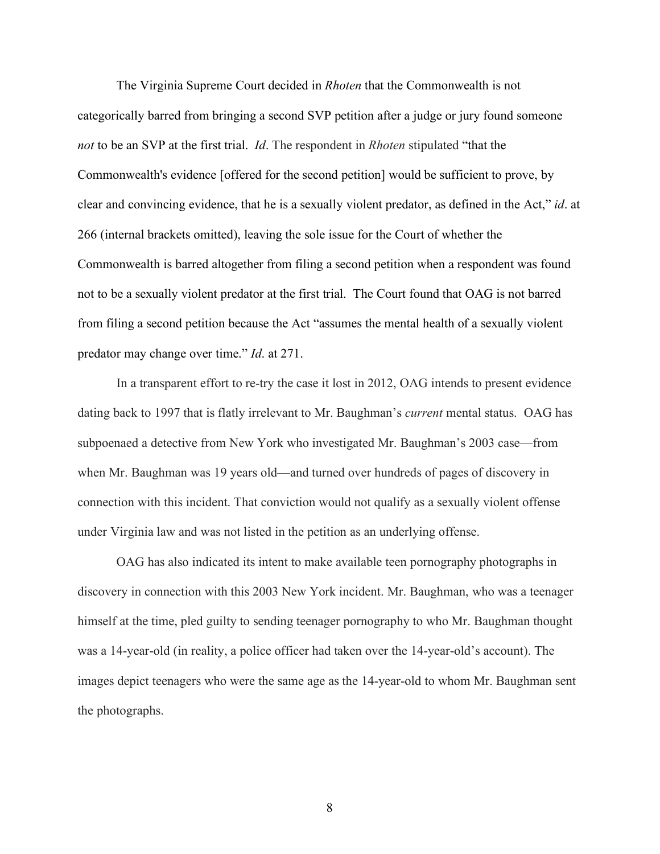The Virginia Supreme Court decided in *Rhoten* that the Commonwealth is not categorically barred from bringing a second SVP petition after a judge or jury found someone *not* to be an SVP at the first trial. *Id*. The respondent in *Rhoten* stipulated "that the Commonwealth's evidence [offered for the second petition] would be sufficient to prove, by clear and convincing evidence, that he is a sexually violent predator, as defined in the Act," *id*. at 266 (internal brackets omitted), leaving the sole issue for the Court of whether the Commonwealth is barred altogether from filing a second petition when a respondent was found not to be a sexually violent predator at the first trial. The Court found that OAG is not barred from filing a second petition because the Act "assumes the mental health of a sexually violent predator may change over time." *Id*. at 271.

In a transparent effort to re-try the case it lost in 2012, OAG intends to present evidence dating back to 1997 that is flatly irrelevant to Mr. Baughman's *current* mental status. OAG has subpoenaed a detective from New York who investigated Mr. Baughman's 2003 case—from when Mr. Baughman was 19 years old—and turned over hundreds of pages of discovery in connection with this incident. That conviction would not qualify as a sexually violent offense under Virginia law and was not listed in the petition as an underlying offense.

OAG has also indicated its intent to make available teen pornography photographs in discovery in connection with this 2003 New York incident. Mr. Baughman, who was a teenager himself at the time, pled guilty to sending teenager pornography to who Mr. Baughman thought was a 14-year-old (in reality, a police officer had taken over the 14-year-old's account). The images depict teenagers who were the same age as the 14-year-old to whom Mr. Baughman sent the photographs.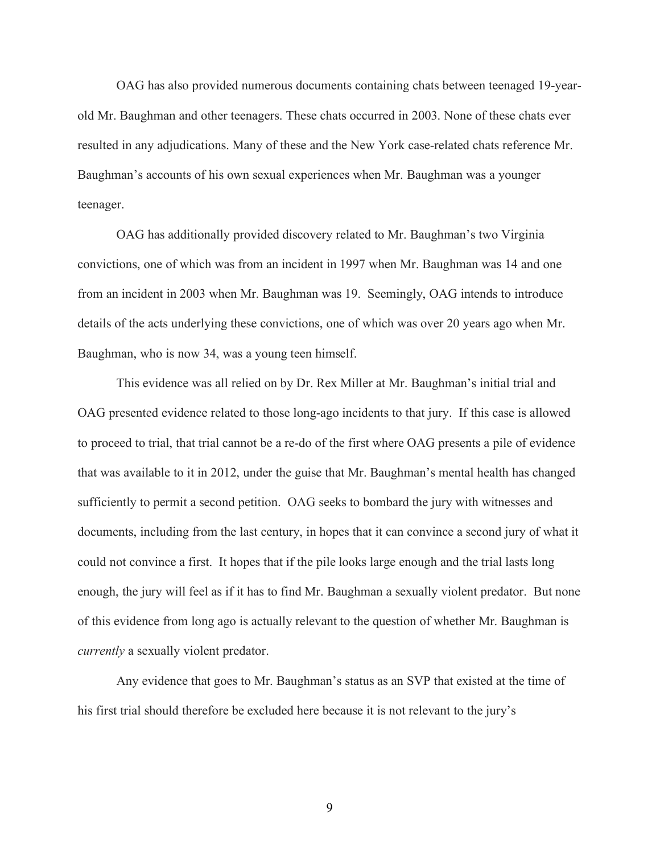OAG has also provided numerous documents containing chats between teenaged 19-yearold Mr. Baughman and other teenagers. These chats occurred in 2003. None of these chats ever resulted in any adjudications. Many of these and the New York case-related chats reference Mr. Baughman's accounts of his own sexual experiences when Mr. Baughman was a younger teenager.

OAG has additionally provided discovery related to Mr. Baughman's two Virginia convictions, one of which was from an incident in 1997 when Mr. Baughman was 14 and one from an incident in 2003 when Mr. Baughman was 19. Seemingly, OAG intends to introduce details of the acts underlying these convictions, one of which was over 20 years ago when Mr. Baughman, who is now 34, was a young teen himself.

This evidence was all relied on by Dr. Rex Miller at Mr. Baughman's initial trial and OAG presented evidence related to those long-ago incidents to that jury. If this case is allowed to proceed to trial, that trial cannot be a re-do of the first where OAG presents a pile of evidence that was available to it in 2012, under the guise that Mr. Baughman's mental health has changed sufficiently to permit a second petition. OAG seeks to bombard the jury with witnesses and documents, including from the last century, in hopes that it can convince a second jury of what it could not convince a first. It hopes that if the pile looks large enough and the trial lasts long enough, the jury will feel as if it has to find Mr. Baughman a sexually violent predator. But none of this evidence from long ago is actually relevant to the question of whether Mr. Baughman is *currently* a sexually violent predator.

Any evidence that goes to Mr. Baughman's status as an SVP that existed at the time of his first trial should therefore be excluded here because it is not relevant to the jury's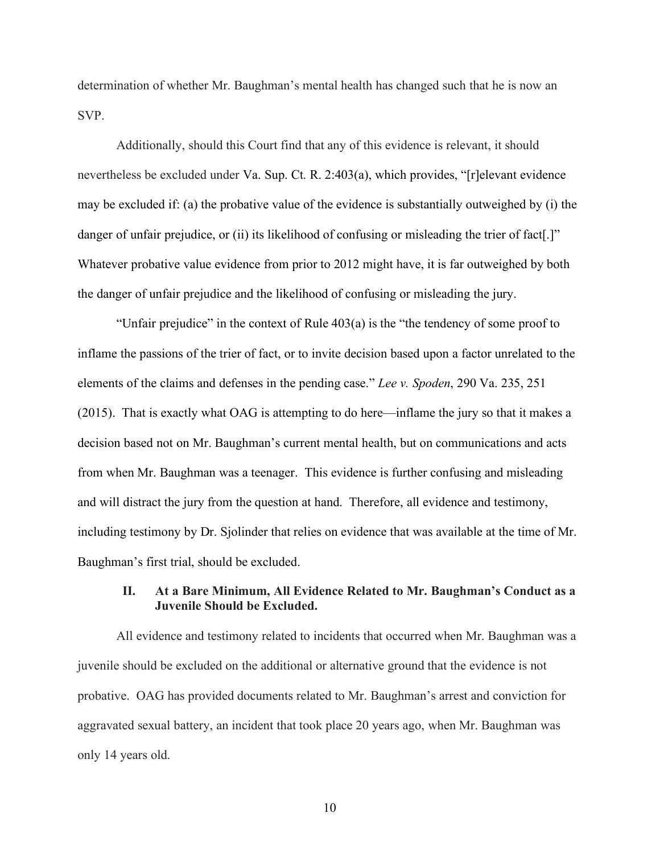determination of whether Mr. Baughman's mental health has changed such that he is now an SVP.

Additionally, should this Court find that any of this evidence is relevant, it should nevertheless be excluded under Va. Sup. Ct. R. 2:403(a), which provides, "[r]elevant evidence may be excluded if: (a) the probative value of the evidence is substantially outweighed by (i) the danger of unfair prejudice, or (ii) its likelihood of confusing or misleading the trier of fact. Whatever probative value evidence from prior to 2012 might have, it is far outweighed by both the danger of unfair prejudice and the likelihood of confusing or misleading the jury.

"Unfair prejudice" in the context of Rule 403(a) is the "the tendency of some proof to inflame the passions of the trier of fact, or to invite decision based upon a factor unrelated to the elements of the claims and defenses in the pending case." *Lee v. Spoden*, 290 Va. 235, 251 (2015). That is exactly what OAG is attempting to do here—inflame the jury so that it makes a decision based not on Mr. Baughman's current mental health, but on communications and acts from when Mr. Baughman was a teenager. This evidence is further confusing and misleading and will distract the jury from the question at hand. Therefore, all evidence and testimony, including testimony by Dr. Sjolinder that relies on evidence that was available at the time of Mr. Baughman's first trial, should be excluded.

### **II. At a Bare Minimum, All Evidence Related to Mr. Baughman's Conduct as a Juvenile Should be Excluded.**

All evidence and testimony related to incidents that occurred when Mr. Baughman was a juvenile should be excluded on the additional or alternative ground that the evidence is not probative. OAG has provided documents related to Mr. Baughman's arrest and conviction for aggravated sexual battery, an incident that took place 20 years ago, when Mr. Baughman was only 14 years old.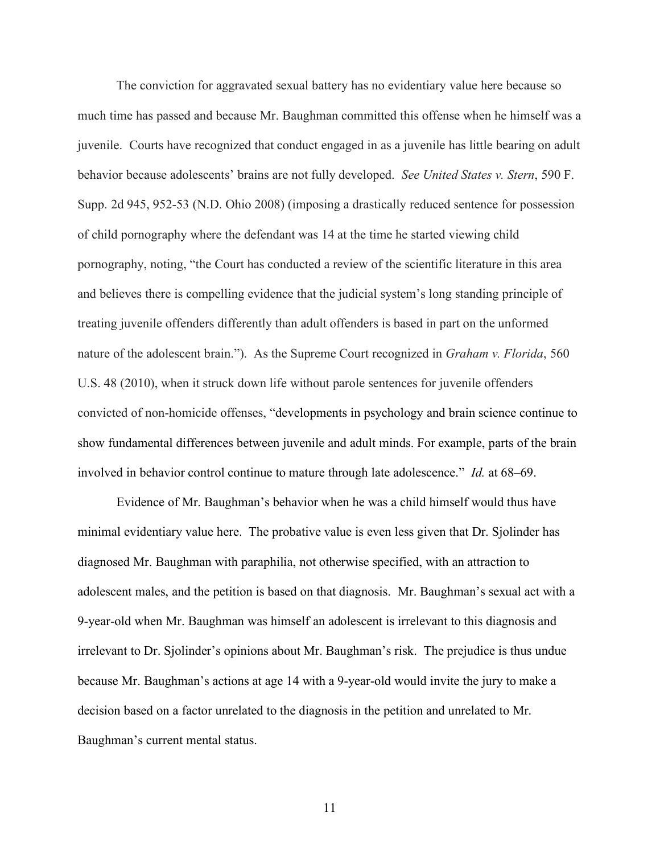The conviction for aggravated sexual battery has no evidentiary value here because so much time has passed and because Mr. Baughman committed this offense when he himself was a juvenile. Courts have recognized that conduct engaged in as a juvenile has little bearing on adult behavior because adolescents' brains are not fully developed. *See United States v. Stern*, 590 F. Supp. 2d 945, 952-53 (N.D. Ohio 2008) (imposing a drastically reduced sentence for possession of child pornography where the defendant was 14 at the time he started viewing child pornography, noting, "the Court has conducted a review of the scientific literature in this area and believes there is compelling evidence that the judicial system's long standing principle of treating juvenile offenders differently than adult offenders is based in part on the unformed nature of the adolescent brain."). As the Supreme Court recognized in *Graham v. Florida*, 560 U.S. 48 (2010), when it struck down life without parole sentences for juvenile offenders convicted of non-homicide offenses, "developments in psychology and brain science continue to show fundamental differences between juvenile and adult minds. For example, parts of the brain involved in behavior control continue to mature through late adolescence." *Id.* at 68–69.

Evidence of Mr. Baughman's behavior when he was a child himself would thus have minimal evidentiary value here. The probative value is even less given that Dr. Sjolinder has diagnosed Mr. Baughman with paraphilia, not otherwise specified, with an attraction to adolescent males, and the petition is based on that diagnosis. Mr. Baughman's sexual act with a 9-year-old when Mr. Baughman was himself an adolescent is irrelevant to this diagnosis and irrelevant to Dr. Sjolinder's opinions about Mr. Baughman's risk. The prejudice is thus undue because Mr. Baughman's actions at age 14 with a 9-year-old would invite the jury to make a decision based on a factor unrelated to the diagnosis in the petition and unrelated to Mr. Baughman's current mental status.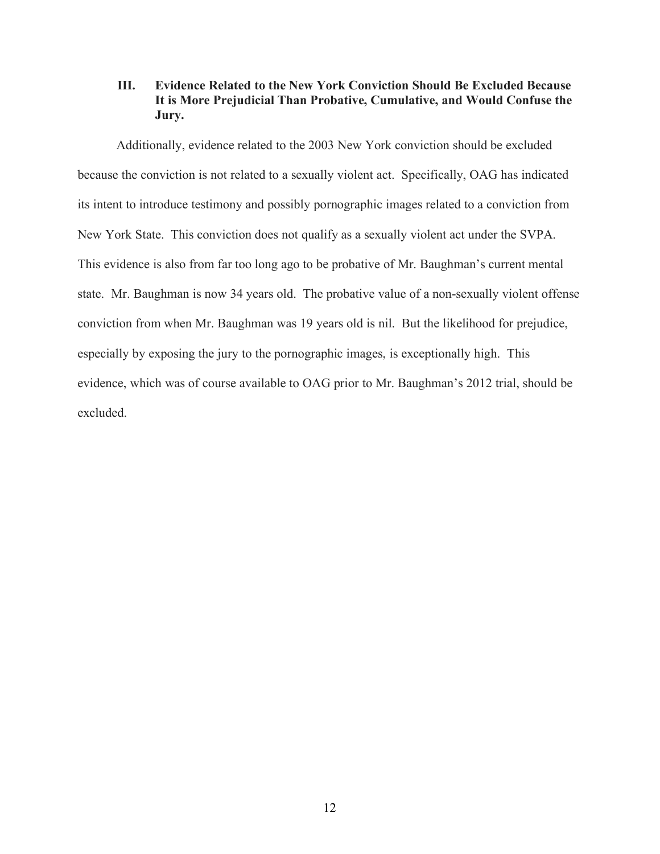# **III. Evidence Related to the New York Conviction Should Be Excluded Because It is More Prejudicial Than Probative, Cumulative, and Would Confuse the Jury.**

Additionally, evidence related to the 2003 New York conviction should be excluded because the conviction is not related to a sexually violent act. Specifically, OAG has indicated its intent to introduce testimony and possibly pornographic images related to a conviction from New York State. This conviction does not qualify as a sexually violent act under the SVPA. This evidence is also from far too long ago to be probative of Mr. Baughman's current mental state. Mr. Baughman is now 34 years old. The probative value of a non-sexually violent offense conviction from when Mr. Baughman was 19 years old is nil. But the likelihood for prejudice, especially by exposing the jury to the pornographic images, is exceptionally high. This evidence, which was of course available to OAG prior to Mr. Baughman's 2012 trial, should be excluded.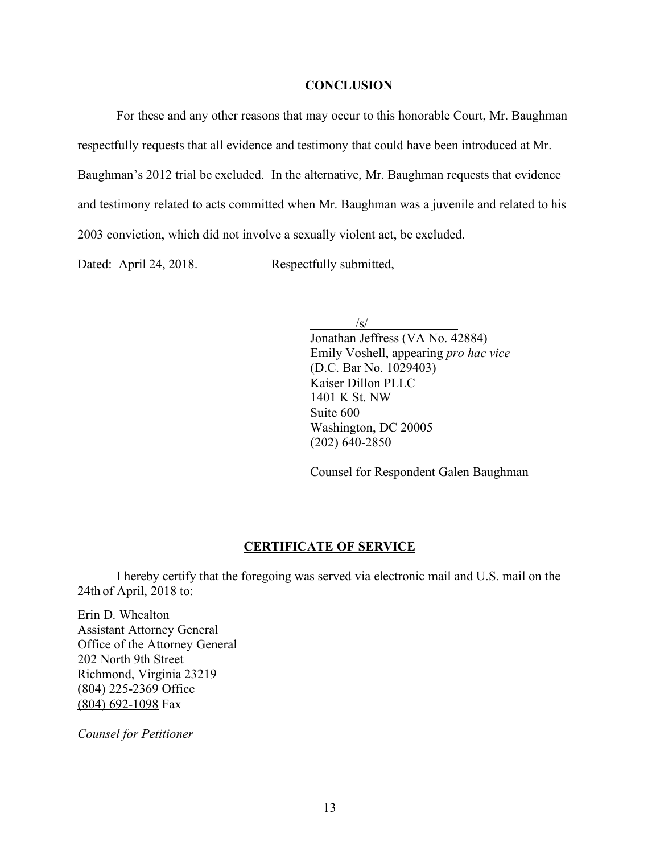# **CONCLUSION**

For these and any other reasons that may occur to this honorable Court, Mr. Baughman respectfully requests that all evidence and testimony that could have been introduced at Mr. Baughman's 2012 trial be excluded. In the alternative, Mr. Baughman requests that evidence and testimony related to acts committed when Mr. Baughman was a juvenile and related to his 2003 conviction, which did not involve a sexually violent act, be excluded.

Dated: April 24, 2018. Respectfully submitted,

 $\sqrt{s/}$ 

Jonathan Jeffress (VA No. 42884) Emily Voshell, appearing *pro hac vice* (D.C. Bar No. 1029403) Kaiser Dillon PLLC 1401 K St. NW Suite 600 Washington, DC 20005 (202) 640-2850

Counsel for Respondent Galen Baughman

#### **CERTIFICATE OF SERVICE**

I hereby certify that the foregoing was served via electronic mail and U.S. mail on the 24th of April, 2018 to:

Erin D. Whealton Assistant Attorney General Office of the Attorney General 202 North 9th Street Richmond, Virginia 23219 (804) 225-2369 Office (804) 692-1098 Fax

*Counsel for Petitioner*